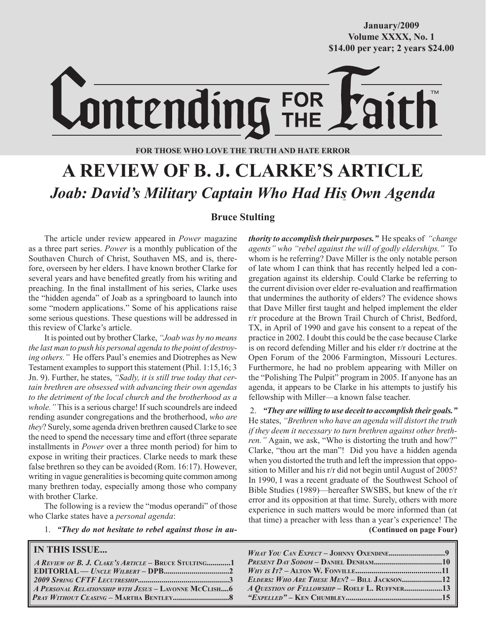**October/2007 Volume XXXX, No. 1 Volume XXXVIII, No. 10 \$14.00 per year; 2 years \$24.00 \$14.00 per year; 2 years \$24.00 January/2009**



## **FOR THOSE WHO LOVE THE TRUTH AND HATE ERROR**

# **A REVIEW OF B. J. CLARKE'S ARTICLE** *Joab: David's Military Captain Who Had His Own Agenda*

## **Bruce Stulting**

The article under review appeared in *Power* magazine as a three part series. *Power* is a monthly publication of the Southaven Church of Christ, Southaven MS, and is, therefore, overseen by her elders. I have known brother Clarke for several years and have benefited greatly from his writing and preaching. In the final installment of his series, Clarke uses the "hidden agenda" of Joab as a springboard to launch into some "modern applications." Some of his applications raise some serious questions. These questions will be addressed in this review of Clarke's article.

It is pointed out by brother Clarke, *"Joab was by no means the last man to push his personal agenda to the point of destroying others."* He offers Paul's enemies and Diotrephes as New Testament examples to support this statement (Phil. 1:15,16; 3 Jn. 9). Further, he states, *"Sadly, it is still true today that certain brethren are obsessed with advancing their own agendas to the detriment of the local church and the brotherhood as a whole."* This is a serious charge! If such scoundrels are indeed rending asunder congregations and the brotherhood, *who are they*? Surely, some agenda driven brethren caused Clarke to see the need to spend the necessary time and effort (three separate installments in *Power* over a three month period) for him to expose in writing their practices. Clarke needs to mark these false brethren so they can be avoided (Rom. 16:17). However, writing in vague generalities is becoming quite common among many brethren today, especially among those who company with brother Clarke.

The following is a review the "modus operandi" of those who Clarke states have a *personal agenda*:

1. *"They do not hesitate to rebel against those in au-*

## **IN THIS ISSUE...**

| A REVIEW OF B. J. CLAKE'S ARTICLE - BRUCE STULTING1   |  |
|-------------------------------------------------------|--|
|                                                       |  |
|                                                       |  |
| A PERSONAL RELATIONSHIP WITH JESUS - LAVONNE MCCLISH6 |  |
|                                                       |  |

*thority to accomplish their purposes."* He speaks of *"change agents" who "rebel against the will of godly elderships."* To whom is he referring? Dave Miller is the only notable person of late whom I can think that has recently helped led a congregation against its eldership. Could Clarke be referring to the current division over elder re-evaluation and reaffirmation that undermines the authority of elders? The evidence shows that Dave Miller first taught and helped implement the elder r/r procedure at the Brown Trail Church of Christ, Bedford, TX, in April of 1990 and gave his consent to a repeat of the practice in 2002. I doubt this could be the case because Clarke is on record defending Miller and his elder r/r doctrine at the Open Forum of the 2006 Farmington, Missouri Lectures. Furthermore, he had no problem appearing with Miller on the "Polishing The Pulpit" program in 2005. If anyone has an agenda, it appears to be Clarke in his attempts to justify his fellowship with Miller—a known false teacher.

 **(Continued on page Four)** 2. *"They are willing to use deceit to accomplish their goals."* He states, *"Brethren who have an agenda will distort the truth if they deem it necessary to turn brethren against other brethren."* Again, we ask, "Who is distorting the truth and how?" Clarke, "thou art the man"! Did you have a hidden agenda when you distorted the truth and left the impression that opposition to Miller and his r/r did not begin until August of 2005? In 1990, I was a recent graduate of the Southwest School of Bible Studies (1989)—hereafter SWSBS, but knew of the r/r error and its opposition at that time. Surely, others with more experience in such matters would be more informed than (at that time) a preacher with less than a year's experience! The

| ELDERS: WHO ARE THESE MEN? - BILL JACKSON12   |  |
|-----------------------------------------------|--|
| A QUESTION OF FELLOWSHIP - ROELF L. RUFFNER13 |  |
|                                               |  |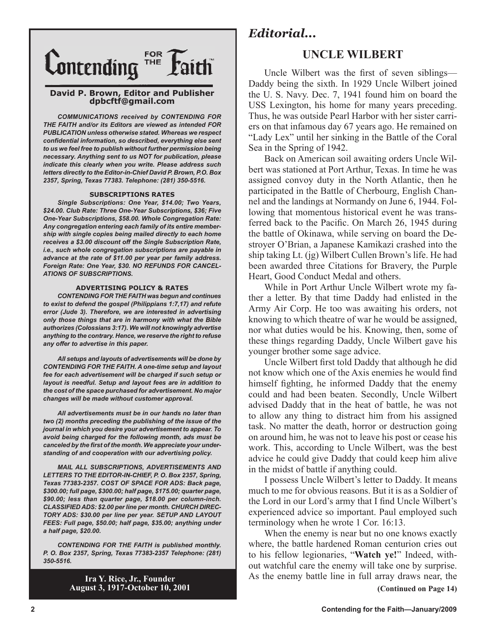

#### **David P. Brown, Editor and Publisher dpbcftf@gmail.com**

*COMMUNICATIONS received by CONTENDING FOR THE FAITH and/or its Editors are viewed as intended FOR PUBLICATION unless otherwise stated. Whereas we respect confidential information, so described, everything else sent to us we feel free to publish without further permission being necessary. Anything sent to us NOT for publication, please indicate this clearly when you write. Please address such letters directly to the Editor-in-Chief David P. Brown, P.O. Box 2357, Spring, Texas 77383. Telephone: (281) 350-5516.*

#### **SUBSCRIPTIONS RATES**

*Single Subscriptions: One Year, \$14.00; Two Years, \$24.00. Club Rate: Three One-Year Subscriptions, \$36; Five One-Year Subscriptions, \$58.00. Whole Congregation Rate: Any congregation entering each family of its entire membership with single copies being mailed directly to each home receives a \$3.00 discount off the Single Subscription Rate, i.e., such whole congregation subscriptions are payable in advance at the rate of \$11.00 per year per family address. Foreign Rate: One Year, \$30. NO REFUNDS FOR CANCEL-ATIONS OF SUBSCRIPTIONS.*

#### **ADVERTISING POLICY & RATES**

*CONTENDING FOR THE FAITH was begun and continues to exist to defend the gospel (Philippians 1:7,17) and refute error (Jude 3). Therefore, we are interested in advertising only those things that are in harmony with what the Bible authorizes (Colossians 3:17). We will not knowingly advertise anything to the contrary. Hence, we reserve the right to refuse any offer to advertise in this paper.*

*All setups and layouts of advertisements will be done by CONTENDING FOR THE FAITH. A one-time setup and layout fee for each advertisement will be charged if such setup or layout is needful. Setup and layout fees are in addition to the cost of the space purchased for advertisement. No major changes will be made without customer approval.*

*All advertisements must be in our hands no later than two (2) months preceding the publishing of the issue of the journal in which you desire your advertisement to appear. To avoid being charged for the following month, ads must be canceled by the first of the month. We appreciate your understanding of and cooperation with our advertising policy.*

*MAIL ALL SUBSCRIPTIONS, ADVERTISEMENTS AND LETTERS TO THE EDITOR-IN-CHIEF, P. O. Box 2357, Spring, Texas 77383-2357. COST OF SPACE FOR ADS: Back page, \$300.00; full page, \$300.00; half page, \$175.00; quarter page, \$90.00; less than quarter page, \$18.00 per column-inch. CLASSIFIED ADS: \$2.00 per line per month. CHURCH DIREC-TORY ADS: \$30.00 per line per year. SETUP AND LAYOUT FEES: Full page, \$50.00; half page, \$35.00; anything under a half page, \$20.00.*

*CONTENDING FOR THE FAITH is published monthly. P. O. Box 2357, Spring, Texas 77383-2357 Telephone: (281) 350-5516.*

> **Ira Y. Rice, Jr., Founder August 3, 1917-October 10, 2001**

## *Editorial...*

## **UNCLE WILBERT**

Uncle Wilbert was the first of seven siblings— Daddy being the sixth. In 1929 Uncle Wilbert joined the U. S. Navy. Dec. 7, 1941 found him on board the USS Lexington, his home for many years preceding. Thus, he was outside Pearl Harbor with her sister carriers on that infamous day 67 years ago. He remained on "Lady Lex" until her sinking in the Battle of the Coral Sea in the Spring of 1942.

Back on American soil awaiting orders Uncle Wilbert was stationed at Port Arthur, Texas. In time he was assigned convoy duty in the North Atlantic, then he participated in the Battle of Cherbourg, English Channel and the landings at Normandy on June 6, 1944. Following that momentous historical event he was transferred back to the Pacific. On March 26, 1945 during the battle of Okinawa, while serving on board the Destroyer O'Brian, a Japanese Kamikazi crashed into the ship taking Lt. (jg) Wilbert Cullen Brown's life. He had been awarded three Citations for Bravery, the Purple Heart, Good Conduct Medal and others.

While in Port Arthur Uncle Wilbert wrote my father a letter. By that time Daddy had enlisted in the Army Air Corp. He too was awaiting his orders, not knowing to which theatre of war he would be assigned, nor what duties would be his. Knowing, then, some of these things regarding Daddy, Uncle Wilbert gave his younger brother some sage advice.

Uncle Wilbert first told Daddy that although he did not know which one of the Axis enemies he would find himself fighting, he informed Daddy that the enemy could and had been beaten. Secondly, Uncle Wilbert advised Daddy that in the heat of battle, he was not to allow any thing to distract him from his assigned task. No matter the death, horror or destruction going on around him, he was not to leave his post or cease his work. This, according to Uncle Wilbert, was the best advice he could give Daddy that could keep him alive in the midst of battle if anything could.

I possess Uncle Wilbert's letter to Daddy. It means much to me for obvious reasons. But it is as a Soldier of the Lord in our Lord's army that I find Uncle Wilbert's experienced advice so important. Paul employed such terminology when he wrote 1 Cor. 16:13.

When the enemy is near but no one knows exactly where, the battle hardened Roman centurion cries out to his fellow legionaries, "**Watch ye!**" Indeed, without watchful care the enemy will take one by surprise. As the enemy battle line in full array draws near, the **(Continued on Page 14)**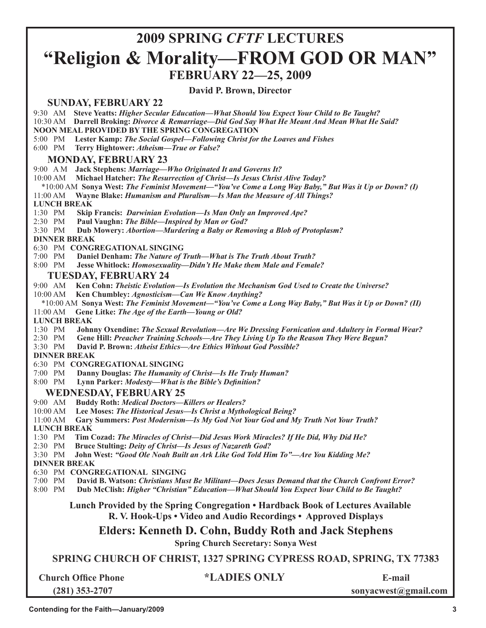## **2009 SPRING** *CFTF* **LECTURES "Religion & Morality—FROM GOD OR MAN" FEBRUARY 22—25, 2009**

**David P. Brown, Director**

## **SUNDAY, FEBRUARY 22**

9:30 AM **Steve Yeatts:** *Higher Secular Education—What Should You Expect Your Child to Be Taught?*

10:30 AM **Darrell Broking:** *Divorce & Remarriage—Did God Say What He Meant And Mean What He Said?*

**NOON MEAL PROVIDED BY THE SPRING CONGREGATION**

5:00 PM **Lester Kamp:** *The Social Gospel—Following Christ for the Loaves and Fishes*

6:00 PM **Terry Hightower:** *Atheism—True or False?*

## **MONDAY, FEBRUARY 23**

9:00 A M **Jack Stephens:** *Marriage—Who Originated It and Governs It?*

10:00 AM **Michael Hatcher:** *The Resurrection of Christ—Is Jesus Christ Alive Today?*

\*10:00 AM **Sonya West:** *The Feminist Movement—"You've Come a Long Way Baby," But Was it Up or Down? (I)*

11:00 AM **Wayne Blake:** *Humanism and Pluralism—Is Man the Measure of All Things?*

#### **LUNCH BREAK**

1:30 PM **Skip Francis:** *Darwinian Evolution—Is Man Only an Improved Ape?*

2:30 PM **Paul Vaughn:** *The Bible—Inspired by Man or God?* 

3:30 PM **Dub Mowery:** *Abortion—Murdering a Baby or Removing a Blob of Protoplasm?*

 **DINNER BREAK**

6:30 PM **CONGREGATIONAL SINGING**

7:00 PM **Daniel Denham:** *The Nature of Truth—What is The Truth About Truth?*

8:00 PM **Jesse Whitlock:** *Homosexuality—Didn't He Make them Male and Female?*

## **TUESDAY, FEBRUARY 24**

9:00 AM **Ken Cohn:** *Theistic Evolution—Is Evolution the Mechanism God Used to Create the Universe?*

- 10:00 AM **Ken Chumbley:** *Agnosticism—Can We Know Anything?*
- \*10:00 AM **Sonya West:** *The Feminist Movement—"You've Come a Long Way Baby," But Was it Up or Down? (II)* 11:00 AM **Gene Litke:** *The Age of the Earth—Young or Old?*

 **LUNCH BREAK**

1:30 PM **Johnny Oxendine:** *The Sexual Revolution—Are We Dressing Fornication and Adultery in Formal Wear?*

2:30 PM **Gene Hill:** *Preacher Training Schools—Are They Living Up To the Reason They Were Begun?*

3:30 PM **David P. Brown:** *Atheist Ethics—Are Ethics Without God Possible?*

 **DINNER BREAK**

6:30 PM **CONGREGATIONAL SINGING**

7:00 PM **Danny Douglas:** *The Humanity of Christ—Is He Truly Human?*

8:00 PM **Lynn Parker:** *Modesty—What is the Bible's Definition?*

### **WEDNESDAY, FEBRUARY 25**

- 9:00 AM **Buddy Roth:** *Medical Doctors—Killers or Healers?*
- 

 10:00 AM **Lee Moses:** *The Historical Jesus—Is Christ a Mythological Being?* Gary Summers: Post Modernism—Is My God Not Your God and My Truth Not Your Truth?

### **LUNCH BREAK**

1:30 PM **Tim Cozad:** *The Miracles of Christ—Did Jesus Work Miracles? If He Did, Why Did He?*

2:30 PM **Bruce Stulting:** *Deity of Christ—Is Jesus of Nazareth God?*

3:30 PM **John West:** *"Good Ole Noah Built an Ark Like God Told Him To"—Are You Kidding Me?*

**DINNER BREAK**

6:30 PM **CONGREGATIONAL SINGING**

7:00 PM **David B. Watson:** *Christians Must Be Militant—Does Jesus Demand that the Church Confront Error?*

8:00 PM **Dub McClish:** *Higher "Christian" Education—What Should You Expect Your Child to Be Taught?* 

## **Lunch Provided by the Spring Congregation • Hardback Book of Lectures Available R. V. Hook-Ups • Video and Audio Recordings • Approved Displays**

**Elders: Kenneth D. Cohn, Buddy Roth and Jack Stephens**

**Spring Church Secretary: Sonya West**

**SPRING CHURCH OF CHRIST, 1327 SPRING CYPRESS ROAD, SPRING, TX 77383**

| <b>Church Office Phone</b> |  |
|----------------------------|--|
| $(281)$ 353-2707           |  |

**Church Office Phone \*LADIES ONLY E-mail**

 **(281) 353-2707 sonyacwest@gmail.com**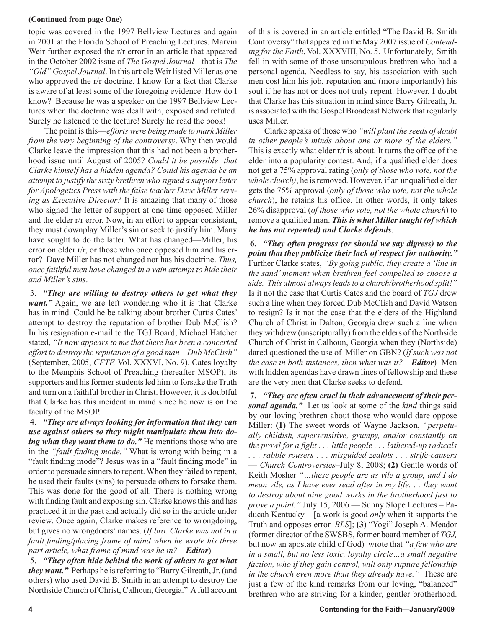### **(Continued from page One)**

topic was covered in the 1997 Bellview Lectures and again in 2001 at the Florida School of Preaching Lectures. Marvin Weir further exposed the r/r error in an article that appeared in the October 2002 issue of *The Gospel Journal—*that is *The "Old" Gospel Journal*. In this article Weir listed Miller as one who approved the r/r doctrine. I know for a fact that Clarke is aware of at least some of the foregoing evidence. How do I know? Because he was a speaker on the 1997 Bellview Lectures when the doctrine was dealt with, exposed and refuted. Surely he listened to the lecture! Surely he read the book!

The point is this—*efforts were being made to mark Miller from the very beginning of the controversy*. Why then would Clarke leave the impression that this had not been a brotherhood issue until August of 2005? *Could it be possible that Clarke himself has a hidden agenda? Could his agenda be an attempt to justify the sixty brethren who signed a support letter for Apologetics Press with the false teacher Dave Miller serving as Executive Director?* It is amazing that many of those who signed the letter of support at one time opposed Miller and the elder r/r error. Now, in an effort to appear consistent, they must downplay Miller's sin or seek to justify him. Many have sought to do the latter. What has changed—Miller, his error on elder r/r, or those who once opposed him and his error? Dave Miller has not changed nor has his doctrine. *Thus, once faithful men have changed in a vain attempt to hide their and Miller's sins*.

3. *"They are willing to destroy others to get what they want."* Again, we are left wondering who it is that Clarke has in mind. Could he be talking about brother Curtis Cates' attempt to destroy the reputation of brother Dub McClish? In his resignation e-mail to the TGJ Board, Michael Hatcher stated, *"It now appears to me that there has been a concerted effort to destroy the reputation of a good man—Dub McClish"* (September, 2005, *CFTF,* Vol. XXXVI, No. 9). Cates loyalty to the Memphis School of Preaching (hereafter MSOP), its supporters and his former students led him to forsake the Truth and turn on a faithful brother in Christ. However, it is doubtful that Clarke has this incident in mind since he now is on the faculty of the MSOP.

4. *"They are always looking for information that they can use against others so they might manipulate them into doing what they want them to do.*" He mentions those who are in the *"fault finding mode."* What is wrong with being in a "fault finding mode"? Jesus was in a "fault finding mode" in order to persuade sinners to repent. When they failed to repent, he used their faults (sins) to persuade others to forsake them. This was done for the good of all. There is nothing wrong with finding fault and exposing sin. Clarke knows this and has practiced it in the past and actually did so in the article under review. Once again, Clarke makes reference to wrongdoing, but gives no wrongdoers' names. (*If bro. Clarke was not in a fault finding/placing frame of mind when he wrote his three part article, what frame of mind was he in?*—*Editor*)

5. *"They often hide behind the work of others to get what they want."* Perhaps he is referring to "Barry Gilreath, Jr. (and others) who used David B. Smith in an attempt to destroy the Northside Church of Christ, Calhoun, Georgia." A full account of this is covered in an article entitled "The David B. Smith Controversy" that appeared in the May 2007 issue of *Contending for the Faith*, Vol. XXXVIII, No. 5. Unfortunately, Smith fell in with some of those unscrupulous brethren who had a personal agenda. Needless to say, his association with such men cost him his job, reputation and (more importantly) his soul if he has not or does not truly repent. However, I doubt that Clarke has this situation in mind since Barry Gilreath, Jr. is associated with the Gospel Broadcast Network that regularly uses Miller.

Clarke speaks of those who *"will plant the seeds of doubt in other people's minds about one or more of the elders."* This is exactly what elder r/r is about. It turns the office of the elder into a popularity contest. And, if a qualified elder does not get a 75% approval rating (*only of those who vote, not the whole church)*, he is removed. However, if an unqualified elder gets the 75% approval (*only of those who vote, not the whole church*), he retains his office. In other words, it only takes 26% disapproval (*of those who vote, not the whole church*) to remove a qualified man. *This is what Miller taught (of which he has not repented) and Clarke defends*.

**6.** *"They often progress (or should we say digress) to the point that they publicize their lack of respect for authority."* Further Clarke states, *"By going public, they create a 'line in the sand' moment when brethren feel compelled to choose a side. This almost always leads to a church/brotherhood split!"* Is it not the case that Curtis Cates and the board of *TGJ* drew such a line when they forced Dub McClish and David Watson to resign? Is it not the case that the elders of the Highland Church of Christ in Dalton, Georgia drew such a line when they withdrew (unscripturally) from the elders of the Northside Church of Christ in Calhoun, Georgia when they (Northside) dared questioned the use of Miller on GBN? (*If such was not the case in both instances, then what was it?*—*Editor*) Men with hidden agendas have drawn lines of fellowship and these are the very men that Clarke seeks to defend.

**7.** *"They are often cruel in their advancement of their personal agenda."* Let us look at some of the *kind* things said by our loving brethren about those who would dare oppose Miller: **(1)** The sweet words of Wayne Jackson, *"perpetually childish, supersensitive, grumpy, and/or constantly on the prowl for a fight . . . little people . . . lathered-up radicals . . . rabble rousers . . . misguided zealots . . . strife-causers*  — *Church Controversies–*July 8, 2008; **(2)** Gentle words of Keith Mosher *"…these people are as vile a group, and I do mean vile, as I have ever read after in my life. . . they want to destroy about nine good works in the brotherhood just to prove a point."* July 15, 2006 — Sunny Slope Lectures – Paducah Kentucky – [a work is good *only* when it supports the Truth and opposes error–*BLS*]; **(3)** "Yogi" Joseph A. Meador (former director of the SWSBS, former board member of *TGJ,* but now an apostate child of God) wrote that *"a few who are in a small, but no less toxic, loyalty circle…a small negative faction, who if they gain control, will only rupture fellowship in the church even more than they already have."* These are just a few of the kind remarks from our loving, "balanced" brethren who are striving for a kinder, gentler brotherhood.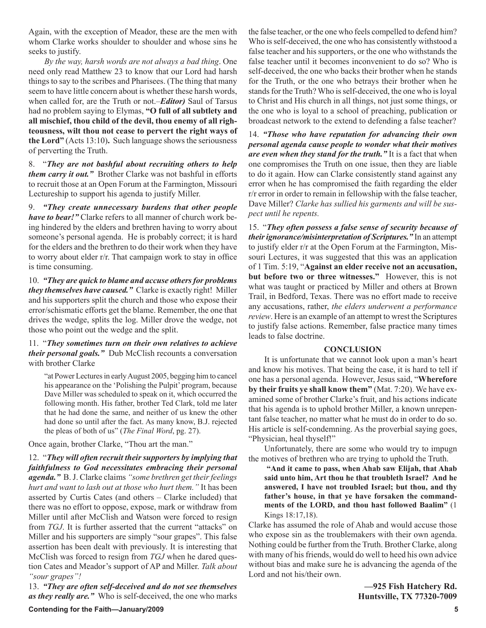Again, with the exception of Meador, these are the men with whom Clarke works shoulder to shoulder and whose sins he seeks to justify.

*By the way, harsh words are not always a bad thing*. One need only read Matthew 23 to know that our Lord had harsh things to say to the scribes and Pharisees. (The thing that many seem to have little concern about is whether these harsh words, when called for, are the Truth or not.–*Editor)* Saul of Tarsus had no problem saying to Elymas, **"O full of all subtlety and all mischief, thou child of the devil, thou enemy of all righteousness, wilt thou not cease to pervert the right ways of the Lord"** (Acts 13:10)**.** Such language shows the seriousness of perverting the Truth.

8. "*They are not bashful about recruiting others to help them carry it out."* Brother Clarke was not bashful in efforts to recruit those at an Open Forum at the Farmington, Missouri Lectureship to support his agenda to justify Miller.

9. *"They create unnecessary burdens that other people have to bear!"* Clarke refers to all manner of church work being hindered by the elders and brethren having to worry about someone's personal agenda. He is probably correct; it is hard for the elders and the brethren to do their work when they have to worry about elder r/r. That campaign work to stay in office is time consuming.

10. *"They are quick to blame and accuse others for problems they themselves have caused."* Clarke is exactly right! Miller and his supporters split the church and those who expose their error/schismatic efforts get the blame. Remember, the one that drives the wedge, splits the log. Miller drove the wedge, not those who point out the wedge and the split.

11. "*They sometimes turn on their own relatives to achieve their personal goals."* Dub McClish recounts a conversation with brother Clarke

"at Power Lectures in early August 2005, begging him to cancel his appearance on the 'Polishing the Pulpit' program, because Dave Miller was scheduled to speak on it, which occurred the following month. His father, brother Ted Clark, told me later that he had done the same, and neither of us knew the other had done so until after the fact. As many know, B.J. rejected the pleas of both of us" (*The Final Word*, pg. 27).

Once again, brother Clarke, "Thou art the man."

12. "*They will often recruit their supporters by implying that faithfulness to God necessitates embracing their personal agenda."* B. J. Clarke claims *"some brethren get their feelings hurt and want to lash out at those who hurt them."* It has been asserted by Curtis Cates (and others – Clarke included) that there was no effort to oppose, expose, mark or withdraw from Miller until after McClish and Watson were forced to resign from *TGJ*. It is further asserted that the current "attacks" on Miller and his supporters are simply "sour grapes". This false assertion has been dealt with previously. It is interesting that McClish was forced to resign from *TGJ* when he dared question Cates and Meador's support of AP and Miller. *Talk about "sour grapes"!*

13. *"They are often self-deceived and do not see themselves as they really are."* Who is self-deceived, the one who marks the false teacher, or the one who feels compelled to defend him? Who is self-deceived, the one who has consistently withstood a false teacher and his supporters, or the one who withstands the false teacher until it becomes inconvenient to do so? Who is self-deceived, the one who backs their brother when he stands for the Truth, or the one who betrays their brother when he stands for the Truth? Who is self-deceived, the one who is loyal to Christ and His church in all things, not just some things, or the one who is loyal to a school of preaching, publication or broadcast network to the extend to defending a false teacher?

14. *"Those who have reputation for advancing their own personal agenda cause people to wonder what their motives are even when they stand for the truth."* It is a fact that when one compromises the Truth on one issue, then they are liable to do it again. How can Clarke consistently stand against any error when he has compromised the faith regarding the elder r/r error in order to remain in fellowship with the false teacher, Dave Miller? *Clarke has sullied his garments and will be suspect until he repents.*

15. "*They often possess a false sense of security because of their ignorance/misinterpretation of Scriptures."* In an attempt to justify elder r/r at the Open Forum at the Farmington, Missouri Lectures, it was suggested that this was an application of 1 Tim. 5:19, "**Against an elder receive not an accusation, but before two or three witnesses."** However, this is not what was taught or practiced by Miller and others at Brown Trail, in Bedford, Texas. There was no effort made to receive any accusations, rather, *the elders underwent a performance review*. Here is an example of an attempt to wrest the Scriptures to justify false actions. Remember, false practice many times leads to false doctrine.

#### **CONCLUSION**

It is unfortunate that we cannot look upon a man's heart and know his motives. That being the case, it is hard to tell if one has a personal agenda. However, Jesus said, "**Wherefore by their fruits ye shall know them"** (Mat. 7:20). We have examined some of brother Clarke's fruit, and his actions indicate that his agenda is to uphold brother Miller, a known unrepentant false teacher, no matter what he must do in order to do so. His article is self-condemning. As the proverbial saying goes, "Physician, heal thyself!"

Unfortunately, there are some who would try to impugn the motives of brethren who are trying to uphold the Truth.

**"And it came to pass, when Ahab saw Elijah, that Ahab said unto him, Art thou he that troubleth Israel? And he answered, I have not troubled Israel; but thou, and thy father's house, in that ye have forsaken the commandments of the LORD, and thou hast followed Baalim"** (1 Kings 18:17,18).

Clarke has assumed the role of Ahab and would accuse those who expose sin as the troublemakers with their own agenda. Nothing could be further from the Truth. Brother Clarke, along with many of his friends, would do well to heed his own advice without bias and make sure he is advancing the agenda of the Lord and not his/their own.

> **—925 Fish Hatchery Rd. Huntsville, TX 77320-7009**

### **Contending for the Faith—January/2009 5**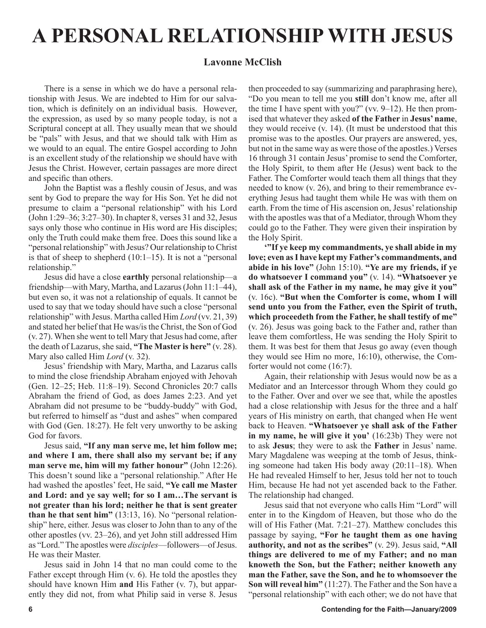# **A PERSONAL RELATIONSHIP WITH JESUS**

## **Lavonne McClish**

There is a sense in which we do have a personal relationship with Jesus. We are indebted to Him for our salvation, which is definitely on an individual basis. However, the expression, as used by so many people today, is not a Scriptural concept at all. They usually mean that we should be "pals" with Jesus, and that we should talk with Him as we would to an equal. The entire Gospel according to John is an excellent study of the relationship we should have with Jesus the Christ. However, certain passages are more direct and specific than others.

John the Baptist was a fleshly cousin of Jesus, and was sent by God to prepare the way for His Son. Yet he did not presume to claim a "personal relationship" with his Lord (John 1:29–36; 3:27–30). In chapter 8, verses 31 and 32, Jesus says only those who continue in His word are His disciples; only the Truth could make them free. Does this sound like a "personal relationship" with Jesus? Our relationship to Christ is that of sheep to shepherd (10:1–15). It is not a "personal relationship."

Jesus did have a close **earthly** personal relationship—a friendship—with Mary, Martha, and Lazarus (John 11:1–44), but even so, it was not a relationship of equals. It cannot be used to say that we today should have such a close "personal relationship" with Jesus. Martha called Him *Lord* (vv. 21, 39) and stated her belief that He was/is the Christ, the Son of God (v. 27). When she went to tell Mary that Jesus had come, after the death of Lazarus, she said, **"The Master is here"** (v. 28). Mary also called Him *Lord* (v. 32).

Jesus' friendship with Mary, Martha, and Lazarus calls to mind the close friendship Abraham enjoyed with Jehovah (Gen. 12–25; Heb. 11:8–19). Second Chronicles 20:7 calls Abraham the friend of God, as does James 2:23. And yet Abraham did not presume to be "buddy-buddy" with God, but referred to himself as "dust and ashes" when compared with God (Gen. 18:27). He felt very unworthy to be asking God for favors.

Jesus said, **"If any man serve me, let him follow me; and where I am, there shall also my servant be; if any man serve me, him will my father honour"** (John 12:26). This doesn't sound like a "personal relationship." After He had washed the apostles' feet, He said, **"Ye call me Master and Lord: and ye say well; for so I am…The servant is not greater than his lord; neither he that is sent greater than he that sent him"** (13:13, 16). No "personal relationship" here, either. Jesus was closer to John than to any of the other apostles (vv. 23–26), and yet John still addressed Him as "Lord." The apostles were *disciples*—followers—of Jesus. He was their Master.

Jesus said in John 14 that no man could come to the Father except through Him (v. 6). He told the apostles they should have known Him **and** His Father (v. 7), but apparently they did not, from what Philip said in verse 8. Jesus then proceeded to say (summarizing and paraphrasing here), "Do you mean to tell me you **still** don't know me, after all the time I have spent with you?" (vv. 9–12). He then promised that whatever they asked **of the Father** in **Jesus' name**, they would receive (v. 14). (It must be understood that this promise was to the apostles. Our prayers are answered, yes, but not in the same way as were those of the apostles.) Verses 16 through 31 contain Jesus' promise to send the Comforter, the Holy Spirit, to them after He (Jesus) went back to the Father. The Comforter would teach them all things that they needed to know (v. 26), and bring to their remembrance everything Jesus had taught them while He was with them on earth. From the time of His ascension on, Jesus' relationship with the apostles was that of a Mediator, through Whom they could go to the Father. They were given their inspiration by the Holy Spirit.

**'"If ye keep my commandments, ye shall abide in my love; even as I have kept my Father's commandments, and abide in his love"** (John 15:10). **"Ye are my friends, if ye do whatsoever I command you"** (v. 14). **"Whatsoever ye shall ask of the Father in my name, he may give it you"** (v. 16c). **"But when the Comforter is come, whom I will send unto you from the Father, even the Spirit of truth, which proceedeth from the Father, he shall testify of me"** (v. 26). Jesus was going back to the Father and, rather than leave them comfortless, He was sending the Holy Spirit to them. It was best for them that Jesus go away (even though they would see Him no more, 16:10), otherwise, the Comforter would not come (16:7).

Again, their relationship with Jesus would now be as a Mediator and an Intercessor through Whom they could go to the Father. Over and over we see that, while the apostles had a close relationship with Jesus for the three and a half years of His ministry on earth, that changed when He went back to Heaven. **"Whatsoever ye shall ask of the Father in my name, he will give it you'** (16:23b) They were not to ask **Jesus**; they were to ask the **Father** in Jesus' name. Mary Magdalene was weeping at the tomb of Jesus, thinking someone had taken His body away (20:11–18). When He had revealed Himself to her, Jesus told her not to touch Him, because He had not yet ascended back to the Father. The relationship had changed.

Jesus said that not everyone who calls Him "Lord" will enter in to the Kingdom of Heaven, but those who do the will of His Father (Mat. 7:21–27). Matthew concludes this passage by saying, **"For he taught them as one having authority, and not as the scribes"** (v. 29). Jesus said, **"All things are delivered to me of my Father; and no man knoweth the Son, but the Father; neither knoweth any man the Father, save the Son, and he to whomsoever the Son will reveal him"** (11:27). The Father and the Son have a "personal relationship" with each other; we do not have that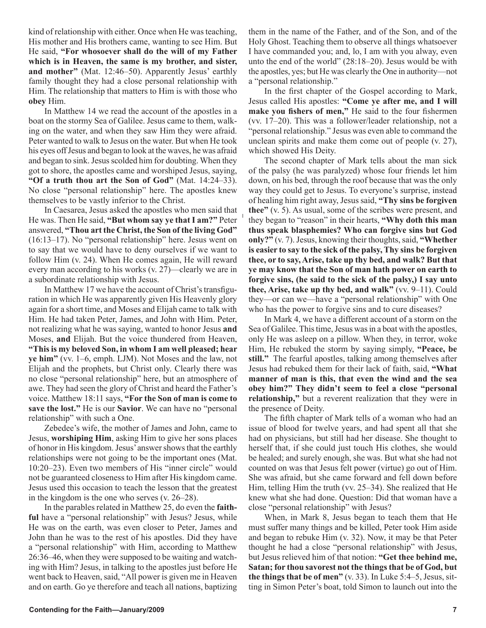kind of relationship with either. Once when He was teaching, His mother and His brothers came, wanting to see Him. But He said, **"For whosoever shall do the will of my Father which is in Heaven, the same is my brother, and sister, and mother"** (Mat. 12:46–50). Apparently Jesus' earthly family thought they had a close personal relationship with Him. The relationship that matters to Him is with those who **obey** Him.

In Matthew 14 we read the account of the apostles in a boat on the stormy Sea of Galilee. Jesus came to them, walking on the water, and when they saw Him they were afraid. Peter wanted to walk to Jesus on the water. But when He took his eyes off Jesus and began to look at the waves, he was afraid and began to sink. Jesus scolded him for doubting. When they got to shore, the apostles came and worshiped Jesus, saying, **"Of a truth thou art the Son of God"** (Mat. 14:24–33). No close "personal relationship" here. The apostles knew themselves to be vastly inferior to the Christ.

In Caesarea, Jesus asked the apostles who men said that He was. Then He said, **"But whom say ye that I am?"** Peter answered, **"Thou art the Christ, the Son of the living God"** (16:13–17). No "personal relationship" here. Jesus went on to say that we would have to deny ourselves if we want to follow Him (v. 24). When He comes again, He will reward every man according to his works (v. 27)—clearly we are in a subordinate relationship with Jesus.

In Matthew 17 we have the account of Christ's transfiguration in which He was apparently given His Heavenly glory again for a short time, and Moses and Elijah came to talk with Him. He had taken Peter, James, and John with Him. Peter, not realizing what he was saying, wanted to honor Jesus **and**  Moses, **and** Elijah. But the voice thundered from Heaven, **"This is my beloved Son, in whom I am well pleased; hear ye him"** (vv. 1–6, emph. LJM). Not Moses and the law, not Elijah and the prophets, but Christ only. Clearly there was no close "personal relationship" here, but an atmosphere of awe. They had seen the glory of Christ and heard the Father's voice. Matthew 18:11 says, **"For the Son of man is come to save the lost."** He is our **Savior**. We can have no "personal relationship" with such a One.

Zebedee's wife, the mother of James and John, came to Jesus, **worshiping Him**, asking Him to give her sons places of honor in His kingdom. Jesus' answer shows that the earthly relationships were not going to be the important ones (Mat. 10:20–23). Even two members of His "inner circle" would not be guaranteed closeness to Him after His kingdom came. Jesus used this occasion to teach the lesson that the greatest in the kingdom is the one who serves (v. 26–28).

In the parables related in Matthew 25, do even the **faithful** have a "personal relationship" with Jesus? Jesus, while He was on the earth, was even closer to Peter, James and John than he was to the rest of his apostles. Did they have a "personal relationship" with Him, according to Matthew 26:36–46, when they were supposed to be waiting and watching with Him? Jesus, in talking to the apostles just before He went back to Heaven, said, "All power is given me in Heaven and on earth. Go ye therefore and teach all nations, baptizing them in the name of the Father, and of the Son, and of the Holy Ghost. Teaching them to observe all things whatsoever I have commanded you; and, lo, I am with you alway, even unto the end of the world" (28:18–20). Jesus would be with the apostles, yes; but He was clearly the One in authority—not a "personal relationship."

In the first chapter of the Gospel according to Mark, Jesus called His apostles: **"Come ye after me, and I will make you fishers of men,"** He said to the four fishermen (vv. 17–20). This was a follower/leader relationship, not a "personal relationship." Jesus was even able to command the unclean spirits and make them come out of people (v. 27), which showed His Deity.

The second chapter of Mark tells about the man sick of the palsy (he was paralyzed) whose four friends let him down, on his bed, through the roof because that was the only way they could get to Jesus. To everyone's surprise, instead of healing him right away, Jesus said, **"Thy sins be forgiven thee"** (v. 5). As usual, some of the scribes were present, and they began to "reason" in their hearts, **"Why doth this man thus speak blasphemies? Who can forgive sins but God only?"** (v. 7). Jesus, knowing their thoughts, said, **"Whether is easier to say to the sick of the palsy, Thy sins be forgiven thee, or to say, Arise, take up thy bed, and walk? But that ye may know that the Son of man hath power on earth to forgive sins, (he said to the sick of the palsy,) I say unto thee, Arise, take up thy bed, and walk"** (vv. 9–11). Could they—or can we—have a "personal relationship" with One who has the power to forgive sins and to cure diseases?

In Mark 4, we have a different account of a storm on the Sea of Galilee. This time, Jesus was in a boat with the apostles, only He was asleep on a pillow. When they, in terror, woke Him, He rebuked the storm by saying simply, **"Peace, be still."** The fearful apostles, talking among themselves after Jesus had rebuked them for their lack of faith, said, **"What manner of man is this, that even the wind and the sea obey him?" They didn't seem to feel a close "personal relationship,"** but a reverent realization that they were in the presence of Deity.

The fifth chapter of Mark tells of a woman who had an issue of blood for twelve years, and had spent all that she had on physicians, but still had her disease. She thought to herself that, if she could just touch His clothes, she would be healed; and surely enough, she was. But what she had not counted on was that Jesus felt power (virtue) go out of Him. She was afraid, but she came forward and fell down before Him, telling Him the truth (vv. 25–34). She realized that He knew what she had done. Question: Did that woman have a close "personal relationship" with Jesus?

When, in Mark 8, Jesus began to teach them that He must suffer many things and be killed, Peter took Him aside and began to rebuke Him (v. 32). Now, it may be that Peter thought he had a close "personal relationship" with Jesus, but Jesus relieved him of that notion: **"Get thee behind me, Satan; for thou savorest not the things that be of God, but the things that be of men"** (v. 33). In Luke 5:4–5, Jesus, sitting in Simon Peter's boat, told Simon to launch out into the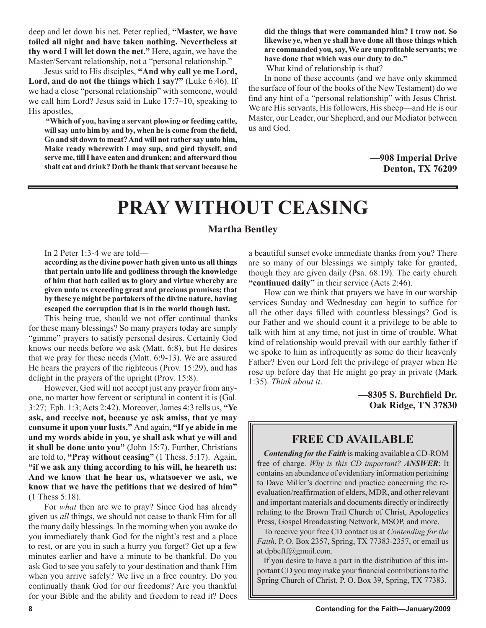deep and let down his net. Peter replied, **"Master, we have toiled all night and have taken nothing. Nevertheless at thy word I will let down the net."** Here, again, we have the Master/Servant relationship, not a "personal relationship."

Jesus said to His disciples, **"And why call ye me Lord, Lord, and do not the things which I say?"** (Luke 6:46). If we had a close "personal relationship" with someone, would we call him Lord? Jesus said in Luke 17:7–10, speaking to His apostles,

**"Which of you, having a servant plowing or feeding cattle, will say unto him by and by, when he is come from the field, Go and sit down to meat? And will not rather say unto him, Make ready wherewith I may sup, and gird thyself, and serve me, till I have eaten and drunken; and afterward thou shalt eat and drink? Doth he thank that servant because he**  **did the things that were commanded him? I trow not. So likewise ye, when ye shall have done all those things which are commanded you, say, We are unprofitable servants; we have done that which was our duty to do."**

What kind of relationship is that?

In none of these accounts (and we have only skimmed the surface of four of the books of the New Testament) do we find any hint of a "personal relationship" with Jesus Christ. We are His servants, His followers, His sheep—and He is our Master, our Leader, our Shepherd, and our Mediator between us and God.

> **—908 Imperial Drive Denton, TX 76209**

# **PRAY WITHOUT CEASING**

## **Martha Bentley**

In 2 Peter 1:3-4 we are told—

**according as the divine power hath given unto us all things that pertain unto life and godliness through the knowledge of him that hath called us to glory and virtue whereby are given unto us exceeding great and precious promises; that by these ye might be partakers of the divine nature, having escaped the corruption that is in the world though lust.**

This being true, should we not offer continual thanks for these many blessings? So many prayers today are simply "gimme" prayers to satisfy personal desires. Certainly God knows our needs before we ask (Matt. 6:8), but He desires that we pray for these needs (Matt. 6:9-13). We are assured He hears the prayers of the righteous (Prov. 15:29), and has delight in the prayers of the upright (Prov. 15:8).

However, God will not accept just any prayer from anyone, no matter how fervent or scriptural in content it is (Gal. 3:27; Eph. 1:3; Acts 2:42). Moreover, James 4:3 tells us, **"Ye ask, and receive not, because ye ask amiss, that ye may consume it upon your lusts."** And again, **"If ye abide in me and my words abide in you, ye shall ask what ye will and it shall be done unto you"** (John 15:7). Further, Christians are told to, **"Pray without ceasing"** (1 Thess. 5:17). Again, **"if we ask any thing according to his will, he heareth us: And we know that he hear us, whatsoever we ask, we know that we have the petitions that we desired of him"** (1 Thess 5:18).

For *what* then are we to pray? Since God has already given us *all* things, we should not cease to thank Him for all the many daily blessings. In the morning when you awake do you immediately thank God for the night's rest and a place to rest, or are you in such a hurry you forget? Get up a few minutes earlier and have a minute to be thankful. Do you ask God to see you safely to your destination and thank Him when you arrive safely? We live in a free country. Do you continually thank God for our freedoms? Are you thankful for your Bible and the ability and freedom to read it? Does

a beautiful sunset evoke immediate thanks from you? There are so many of our blessings we simply take for granted, though they are given daily (Psa. 68:19). The early church **"continued daily"** in their service (Acts 2:46).

How can we think that prayers we have in our worship services Sunday and Wednesday can begin to suffice for all the other days filled with countless blessings? God is our Father and we should count it a privilege to be able to talk with him at any time, not just in time of trouble. What kind of relationship would prevail with our earthly father if we spoke to him as infrequently as some do their heavenly Father? Even our Lord felt the privilege of prayer when He rose up before day that He might go pray in private (Mark 1:35). *Think about it*.

> **—8305 S. Burchfield Dr. Oak Ridge, TN 37830**

## **FREE CD AVAILABLE**

*Contending for the Faith* is making available a CD-ROM free of charge. *Why is this CD important? ANSWER*: It contains an abundance of evidentiary information pertaining to Dave Miller's doctrine and practice concerning the reevaluation/reaffirmation of elders, MDR, and other relevant and important materials and documents directly or indirectly relating to the Brown Trail Church of Christ, Apologetics Press, Gospel Broadcasting Network, MSOP, and more.

To receive your free CD contact us at *Contending for the Faith*, P. O. Box 2357, Spring, TX 77383-2357, or email us at dpbcftf@gmail.com.

If you desire to have a part in the distribution of this important CD you may make your financial contributions to the Spring Church of Christ, P. O. Box 39, Spring, TX 77383.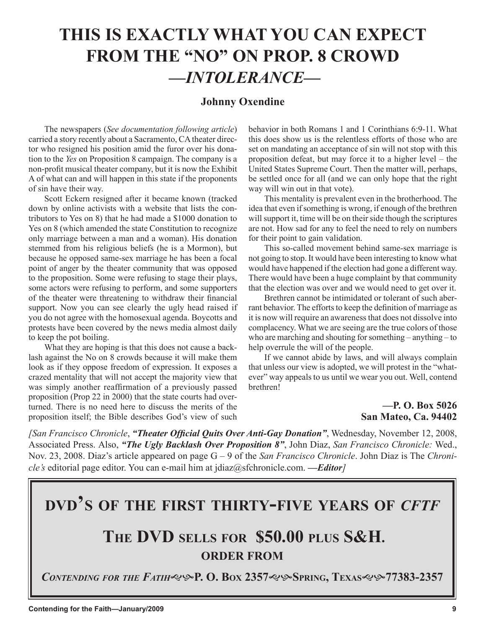## **THIS IS EXACTLY WHAT YOU CAN EXPECT FROM THE "NO" ON PROP. 8 CROWD —***INTOLERANCE***—**

## **Johnny Oxendine**

The newspapers (*See documentation following article*) carried a story recently about a Sacramento, CA theater director who resigned his position amid the furor over his donation to the *Yes* on Proposition 8 campaign. The company is a non-profit musical theater company, but it is now the Exhibit A of what can and will happen in this state if the proponents of sin have their way.

Scott Eckern resigned after it became known (tracked down by online activists with a website that lists the contributors to Yes on 8) that he had made a \$1000 donation to Yes on 8 (which amended the state Constitution to recognize only marriage between a man and a woman). His donation stemmed from his religious beliefs (he is a Mormon), but because he opposed same-sex marriage he has been a focal point of anger by the theater community that was opposed to the proposition. Some were refusing to stage their plays, some actors were refusing to perform, and some supporters of the theater were threatening to withdraw their financial support. Now you can see clearly the ugly head raised if you do not agree with the homosexual agenda. Boycotts and protests have been covered by the news media almost daily to keep the pot boiling.

What they are hoping is that this does not cause a backlash against the No on 8 crowds because it will make them look as if they oppose freedom of expression. It exposes a crazed mentality that will not accept the majority view that was simply another reaffirmation of a previously passed proposition (Prop 22 in 2000) that the state courts had overturned. There is no need here to discuss the merits of the proposition itself; the Bible describes God's view of such behavior in both Romans 1 and 1 Corinthians 6:9-11. What this does show us is the relentless efforts of those who are set on mandating an acceptance of sin will not stop with this proposition defeat, but may force it to a higher level – the United States Supreme Court. Then the matter will, perhaps, be settled once for all (and we can only hope that the right way will win out in that vote).

This mentality is prevalent even in the brotherhood. The idea that even if something is wrong, if enough of the brethren will support it, time will be on their side though the scriptures are not. How sad for any to feel the need to rely on numbers for their point to gain validation.

This so-called movement behind same-sex marriage is not going to stop. It would have been interesting to know what would have happened if the election had gone a different way. There would have been a huge complaint by that community that the election was over and we would need to get over it.

Brethren cannot be intimidated or tolerant of such aberrant behavior. The efforts to keep the definition of marriage as it is now will require an awareness that does not dissolve into complacency. What we are seeing are the true colors of those who are marching and shouting for something – anything – to help overrule the will of the people.

If we cannot abide by laws, and will always complain that unless our view is adopted, we will protest in the "whatever" way appeals to us until we wear you out. Well, contend brethren!

## **—P. O. Box 5026 San Mateo, Ca. 94402**

*[San Francisco Chronicle*, *"Theater Official Quits Over Anti-Gay Donation"*, Wednesday, November 12, 2008, Associated Press. Also, *"The Ugly Backlash Over Proposition 8"*, John Diaz, *San Francisco Chronicle:* Wed., Nov. 23, 2008. Diaz's article appeared on page G – 9 of the *San Francisco Chronicle*. John Diaz is The *Chronicle's* editorial page editor. You can e-mail him at jdiaz@sfchronicle.com. **—***Editor]*

# **DVD'S OF THE FIRST THIRTY-FIVE YEARS OF** *CFTF*

## **THE DVD SELLS FOR \$50.00 PLUS S&H. ORDER FROM**

*CONTENDING FOR THE FATIH***P. O. BOX 2357SPRING, TEXAS77383-2357**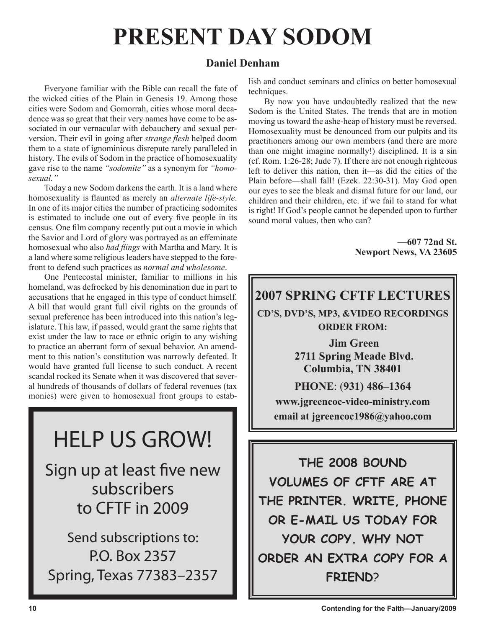# **PRESENT DAY SODOM**

## **Daniel Denham**

Everyone familiar with the Bible can recall the fate of the wicked cities of the Plain in Genesis 19. Among those cities were Sodom and Gomorrah, cities whose moral decadence was so great that their very names have come to be associated in our vernacular with debauchery and sexual perversion. Their evil in going after *strange flesh* helped doom them to a state of ignominious disrepute rarely paralleled in history. The evils of Sodom in the practice of homosexuality gave rise to the name *"sodomite"* as a synonym for *"homosexual."*

Today a new Sodom darkens the earth. It is a land where homosexuality is flaunted as merely an *alternate life-style*. In one of its major cities the number of practicing sodomites is estimated to include one out of every five people in its census. One film company recently put out a movie in which the Savior and Lord of glory was portrayed as an effeminate homosexual who also *had flings* with Martha and Mary. It is a land where some religious leaders have stepped to the forefront to defend such practices as *normal and wholesome*.

One Pentecostal minister, familiar to millions in his homeland, was defrocked by his denomination due in part to accusations that he engaged in this type of conduct himself. A bill that would grant full civil rights on the grounds of sexual preference has been introduced into this nation's legislature. This law, if passed, would grant the same rights that exist under the law to race or ethnic origin to any wishing to practice an aberrant form of sexual behavior. An amendment to this nation's constitution was narrowly defeated. It would have granted full license to such conduct. A recent scandal rocked its Senate when it was discovered that several hundreds of thousands of dollars of federal revenues (tax monies) were given to homosexual front groups to estab-

# HELP US GROW!

Sign up at least five new subscribers to CFTF in 2009

Send subscriptions to: P.O. Box 2357 Spring, Texas 77383–2357 lish and conduct seminars and clinics on better homosexual techniques.

By now you have undoubtedly realized that the new Sodom is the United States. The trends that are in motion moving us toward the ashe-heap of history must be reversed. Homosexuality must be denounced from our pulpits and its practitioners among our own members (and there are more than one might imagine normally!) disciplined. It is a sin (cf. Rom. 1:26-28; Jude 7). If there are not enough righteous left to deliver this nation, then it—as did the cities of the Plain before—shall fall! (Ezek. 22:30-31). May God open our eyes to see the bleak and dismal future for our land, our children and their children, etc. if we fail to stand for what is right! If God's people cannot be depended upon to further sound moral values, then who can?

> **—607 72nd St. Newport News, VA 23605**

# **2007 SPRING CFTF LECTURES**

**CD'S, DVD'S, MP3, &VIDEO RECORDINGS ORDER FROM:**

> **Jim Green 2711 Spring Meade Blvd. Columbia, TN 38401**

## **PHONE**: (**931) 486–1364 www.jgreencoc-video-ministry.com email at jgreencoc1986@yahoo.com**

**THE 2008 BOUND VOLUMES OF CFTF ARE AT THE PRINTER. WRITE, PHONE OR E-MAIL US TODAY FOR YOUR COPY. WHY NOT ORDER AN EXTRA COPY FOR A FRIEND**?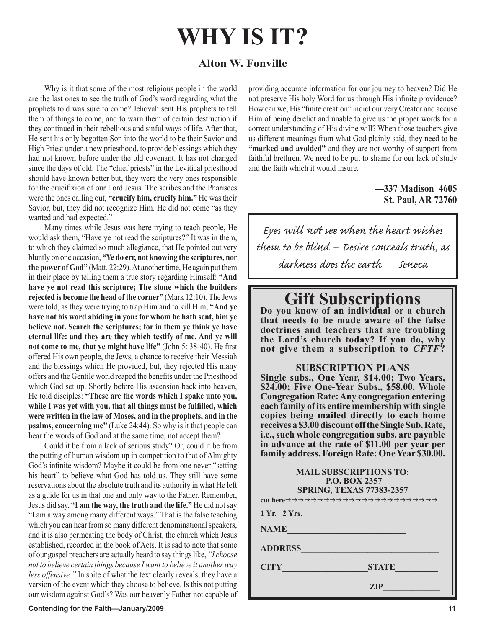# **WHY IS IT?**

## **Alton W. Fonville**

Why is it that some of the most religious people in the world are the last ones to see the truth of God's word regarding what the prophets told was sure to come? Jehovah sent His prophets to tell them of things to come, and to warn them of certain destruction if they continued in their rebellious and sinful ways of life. After that, He sent his only begotten Son into the world to be their Savior and High Priest under a new priesthood, to provide blessings which they had not known before under the old covenant. It has not changed since the days of old. The "chief priests" in the Levitical priesthood should have known better but, they were the very ones responsible for the crucifixion of our Lord Jesus. The scribes and the Pharisees were the ones calling out, **"crucify him, crucify him."** He was their Savior, but, they did not recognize Him. He did not come "as they wanted and had expected."

Many times while Jesus was here trying to teach people, He would ask them, "Have ye not read the scriptures?" It was in them, to which they claimed so much allegiance, that He pointed out very bluntly on one occasion, **"Ye do err, not knowing the scriptures, nor the power of God"** (Matt. 22:29). At another time, He again put them in their place by telling them a true story regarding Himself: **"And have ye not read this scripture; The stone which the builders rejected is become the head of the corner"** (Mark 12:10). The Jews were told, as they were trying to trap Him and to kill Him, **"And ye have not his word abiding in you: for whom he hath sent, him ye believe not. Search the scriptures; for in them ye think ye have eternal life: and they are they which testify of me. And ye will not come to me, that ye might have life"** (John 5: 38-40). He first offered His own people, the Jews, a chance to receive their Messiah and the blessings which He provided, but, they rejected His many offers and the Gentile world reaped the benefits under the Priesthood which God set up. Shortly before His ascension back into heaven, He told disciples: **"These are the words which I spake unto you, while I was yet with you, that all things must be fulfilled, which were written in the law of Moses, and in the prophets, and in the psalms, concerning me"** (Luke 24:44). So why is it that people can hear the words of God and at the same time, not accept them?

Could it be from a lack of serious study? Or, could it be from the putting of human wisdom up in competition to that of Almighty God's infinite wisdom? Maybe it could be from one never "setting his heart" to believe what God has told us. They still have some reservations about the absolute truth and its authority in what He left as a guide for us in that one and only way to the Father. Remember, Jesus did say, **"I am the way, the truth and the life."** He did not say "I am a way among many different ways." That is the false teaching which you can hear from so many different denominational speakers, and it is also permeating the body of Christ, the church which Jesus established, recorded in the book of Acts. It is sad to note that some of our gospel preachers are actually heard to say things like, *"I choose not to believe certain things because I want to believe it another way less offensive."* In spite of what the text clearly reveals, they have a version of the event which they choose to believe. Is this not putting our wisdom against God's? Was our heavenly Father not capable of providing accurate information for our journey to heaven? Did He not preserve His holy Word for us through His infinite providence? How can we, His "finite creation" indict our very Creator and accuse Him of being derelict and unable to give us the proper words for a correct understanding of His divine will? When those teachers give us different meanings from what God plainly said, they need to be **"marked and avoided"** and they are not worthy of support from faithful brethren. We need to be put to shame for our lack of study and the faith which it would insure.

## **—337 Madison 4605 St. Paul, AR 72760**

Eyes will not see when the heart wishes them to be blind – Desire conceals truth, as darkness does the earth — seneca

# **Gift Subscriptions Do you know of an individual or a church**

**that needs to be made aware of the false doctrines and teachers that are troubling the Lord's church today? If you do, why not give them a subscription to** *CFTF***?**

## **SUBSCRIPTION PLANS**

**Single subs., One Year, \$14.00; Two Years, \$24.00; Five One-Year Subs., \$58.00. Whole Congregation Rate: Any congregation entering each family of its entire membership with single copies being mailed directly to each home receives a \$3.00 discount off the Single Sub. Rate, i.e., such whole congregation subs. are payable in advance at the rate of \$11.00 per year per family address. Foreign Rate: One Year \$30.00.**

## **MAIL SUBSCRIPTIONS TO: P.O. BOX 2357 SPRING, TEXAS 77383-2357 cut here**

**1 Yr. 2 Yrs.**

**NAME\_\_\_\_\_\_\_\_\_\_\_\_\_\_\_\_\_\_\_\_\_\_\_\_\_**

**ADDRESS\_\_\_\_\_\_\_\_\_\_\_\_\_\_\_\_\_\_\_\_\_\_\_\_\_\_\_\_\_**

**CITY\_\_\_\_\_\_\_\_\_\_\_\_\_\_\_\_\_\_STATE\_\_\_\_\_\_\_\_\_**

 $ZIP$  and  $ZIP$  and  $ZIP$  and  $ZIP$  and  $ZIP$  and  $ZIP$  and  $ZIP$  and  $ZIP$  and  $ZIP$  and  $ZIP$  and  $ZIP$  and  $ZIP$  and  $ZIP$  and  $ZIP$  and  $ZIP$  and  $ZIP$  and  $ZIP$  and  $ZIP$  and  $ZIP$  and  $ZIP$  and  $ZIP$  and  $ZIP$  and  $ZIP$  and  $ZIP$  and  $ZIP$ 

### **Contending for the Faith—January/2009 11 and 2009 12 and 2009 12 and 2009 12 and 2009 12 and 2009 11**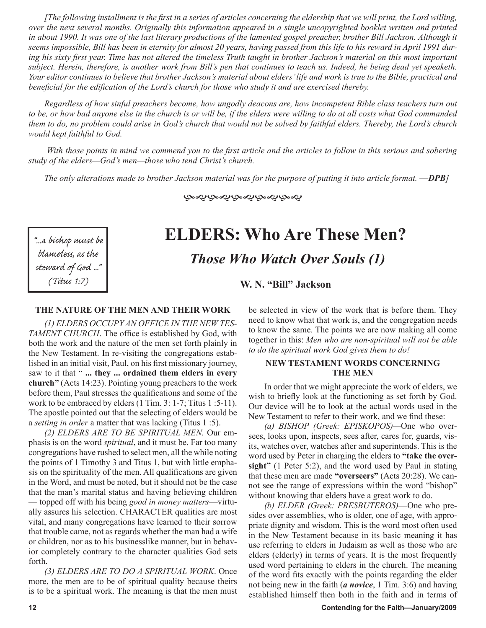*[The following installment is the first in a series of articles concerning the eldership that we will print, the Lord willing, over the next several months. Originally this information appeared in a single uncopyrighted booklet written and printed in about 1990. It was one of the last literary productions of the lamented gospel preacher, brother Bill Jackson. Although it seems impossible, Bill has been in eternity for almost 20 years, having passed from this life to his reward in April 1991 during his sixty first year. Time has not altered the timeless Truth taught in brother Jackson's material on this most important subject. Herein, therefore, is another work from Bill's pen that continues to teach us. Indeed, he being dead yet speaketh. Your editor continues to believe that brother Jackson's material about elders' life and work is true to the Bible, practical and beneficial for the edification of the Lord's church for those who study it and are exercised thereby.*

*Regardless of how sinful preachers become, how ungodly deacons are, how incompetent Bible class teachers turn out to be, or how bad anyone else in the church is or will be, if the elders were willing to do at all costs what God commanded them to do, no problem could arise in God's church that would not be solved by faithful elders. Thereby, the Lord's church would kept faithful to God.*

 *With those points in mind we commend you to the first article and the articles to follow in this serious and sobering study of the elders—God's men—those who tend Christ's church.*

*The only alterations made to brother Jackson material was for the purpose of putting it into article format. —DPB]*

ড়ড়ড়ড়ড়ড়ড়ড়ড়

"...a bishop must be blameless, as the steward of God ..." (Titus 1:7)

## **ELDERS: Who Are These Men?** *Those Who Watch Over Souls (1)*

**W. N. "Bill" Jackson** 

### **THE NATURE OF THE MEN AND THEIR WORK**

*(1) ELDERS OCCUPY AN OFFICE IN THE NEW TES-TAMENT CHURCH*. The office is established by God, with both the work and the nature of the men set forth plainly in the New Testament. In re-visiting the congregations established in an initial visit, Paul, on his first missionary journey, saw to it that " **... they ... ordained them elders in every church"** (Acts 14:23). Pointing young preachers to the work before them, Paul stresses the qualifications and some of the work to be embraced by elders (1 Tim. 3: 1-7; Titus 1 :5-11). The apostle pointed out that the selecting of elders would be a *setting in order* a matter that was lacking (Titus 1 :5).

*(2) ELDERS ARE TO BE SPIRITUAL MEN.* Our emphasis is on the word *spiritual*, and it must be. Far too many congregations have rushed to select men, all the while noting the points of 1 Timothy 3 and Titus 1, but with little emphasis on the spirituality of the men. All qualifications are given in the Word, and must be noted, but it should not be the case that the man's marital status and having believing children — topped off with his being *good in money matters*—virtually assures his selection. CHARACTER qualities are most vital, and many congregations have learned to their sorrow that trouble came, not as regards whether the man had a wife or children, nor as to his businesslike manner, but in behavior completely contrary to the character qualities God sets forth.

*(3) ELDERS ARE TO DO A SPIRITUAL WORK*. Once more, the men are to be of spiritual quality because theirs is to be a spiritual work. The meaning is that the men must be selected in view of the work that is before them. They need to know what that work is, and the congregation needs to know the same. The points we are now making all come together in this: *Men who are non-spiritual will not be able to do the spiritual work God gives them to do!*

## **NEW TESTAMENT WORDS CONCERNING THE MEN**

In order that we might appreciate the work of elders, we wish to briefly look at the functioning as set forth by God. Our device will be to look at the actual words used in the New Testament to refer to their work, and we find these:

*(a) BISHOP (Greek: EPISKOPOS)—*One who oversees, looks upon, inspects, sees after, cares for, guards, visits, watches over, watches after and superintends. This is the word used by Peter in charging the elders to **"take the oversight"** (1 Peter 5:2), and the word used by Paul in stating that these men are made **"overseers"** (Acts 20:28). We cannot see the range of expressions within the word "bishop" without knowing that elders have a great work to do.

*(b) ELDER (Greek: PRESBUTEROS)*—One who presides over assemblies, who is older, one of age, with appropriate dignity and wisdom. This is the word most often used in the New Testament because in its basic meaning it has use referring to elders in Judaism as well as those who are elders (elderly) in terms of years. It is the most frequently used word pertaining to elders in the church. The meaning of the word fits exactly with the points regarding the elder not being new in the faith (*a novice*, 1 Tim. 3:6) and having established himself then both in the faith and in terms of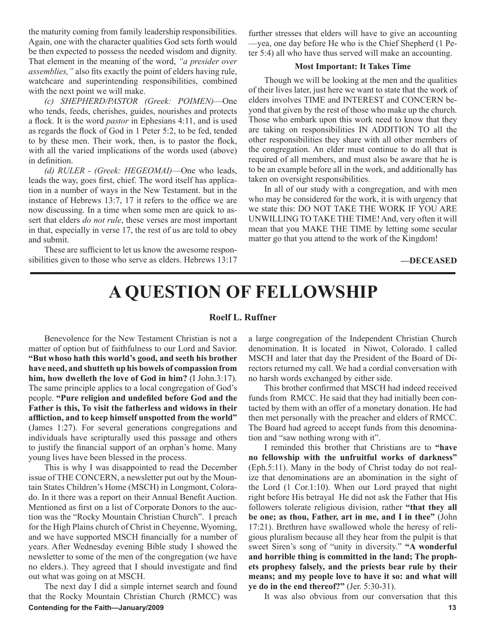the maturity coming from family leadership responsibilities. Again, one with the character qualities God sets forth would be then expected to possess the needed wisdom and dignity. That element in the meaning of the word, *"a presider over assemblies,"* also fits exactly the point of elders having rule, watchcare and superintending responsibilities, combined with the next point we will make.

*(c) SHEPHERD/PASTOR (Greek: POIMEN)*—One who tends, feeds, cherishes, guides, nourishes and protects a flock. It is the word *pastor* in Ephesians 4:11, and is used as regards the flock of God in 1 Peter 5:2, to be fed, tended to by these men. Their work, then, is to pastor the flock, with all the varied implications of the words used (above) in definition.

*(d) RULER - (Greek: HEGEOMAI)*—One who leads, leads the way, goes first, chief. The word itself has application in a number of ways in the New Testament. but in the instance of Hebrews 13:7, 17 it refers to the office we are now discussing. In a time when some men are quick to assert that elders *do not rule*, these verses are most important in that, especially in verse 17, the rest of us are told to obey and submit.

These are sufficient to let us know the awesome responsibilities given to those who serve as elders. Hebrews 13:17 further stresses that elders will have to give an accounting —yea, one day before He who is the Chief Shepherd (1 Peter 5:4) all who have thus served will make an accounting.

### **Most Important: It Takes Time**

Though we will be looking at the men and the qualities of their lives later, just here we want to state that the work of elders involves TIME and INTEREST and CONCERN beyond that given by the rest of those who make up the church. Those who embark upon this work need to know that they are taking on responsibilities IN ADDITION TO all the other responsibilities they share with all other members of the congregation. An elder must continue to do all that is required of all members, and must also be aware that he is to be an example before all in the work, and additionally has taken on oversight responsibilities.

In all of our study with a congregation, and with men who may be considered for the work, it is with urgency that we state this: DO NOT TAKE THE WORK IF YOU ARE UNWILLING TO TAKE THE TIME! And, very often it will mean that you MAKE THE TIME by letting some secular matter go that you attend to the work of the Kingdom!

**—DECEASED**

## **A QUESTION OF FELLOWSHIP**

### **Roelf L. Ruffner**

Benevolence for the New Testament Christian is not a matter of option but of faithfulness to our Lord and Savior. **"But whoso hath this world's good, and seeth his brother have need, and shutteth up his bowels of compassion from him, how dwelleth the love of God in him?** (I John.3:17). The same principle applies to a local congregation of God's people. **"Pure religion and undefiled before God and the Father is this, To visit the fatherless and widows in their affliction, and to keep himself unspotted from the world"** (James 1:27). For several generations congregations and individuals have scripturally used this passage and others to justify the financial support of an orphan's home. Many young lives have been blessed in the process.

This is why I was disappointed to read the December issue of THE CONCERN, a newsletter put out by the Mountain States Children's Home (MSCH) in Longmont, Colorado. In it there was a report on their Annual Benefit Auction. Mentioned as first on a list of Corporate Donors to the auction was the "Rocky Mountain Christian Church". I preach for the High Plains church of Christ in Cheyenne, Wyoming, and we have supported MSCH financially for a number of years. After Wednesday evening Bible study I showed the newsletter to some of the men of the congregation (we have no elders.). They agreed that I should investigate and find out what was going on at MSCH.

**Contending for the Faith—January/2009 13** The next day I did a simple internet search and found that the Rocky Mountain Christian Church (RMCC) was

a large congregation of the Independent Christian Church denomination. It is located in Niwot, Colorado. I called MSCH and later that day the President of the Board of Directors returned my call. We had a cordial conversation with no harsh words exchanged by either side.

This brother confirmed that MSCH had indeed received funds from RMCC. He said that they had initially been contacted by them with an offer of a monetary donation. He had then met personally with the preacher and elders of RMCC. The Board had agreed to accept funds from this denomination and "saw nothing wrong with it".

I reminded this brother that Christians are to **"have no fellowship with the unfruitful works of darkness"** (Eph.5:11). Many in the body of Christ today do not realize that denominations are an abomination in the sight of the Lord (1 Cor.1:10). When our Lord prayed that night right before His betrayal He did not ask the Father that His followers tolerate religious division, rather **"that they all be one; as thou, Father, art in me, and I in thee"** (John 17:21). Brethren have swallowed whole the heresy of religious pluralism because all they hear from the pulpit is that sweet Siren's song of "unity in diversity." **"A wonderful and horrible thing is committed in the land; The prophets prophesy falsely, and the priests bear rule by their means; and my people love to have it so: and what will ye do in the end thereof?"** (Jer. 5:30-31).

It was also obvious from our conversation that this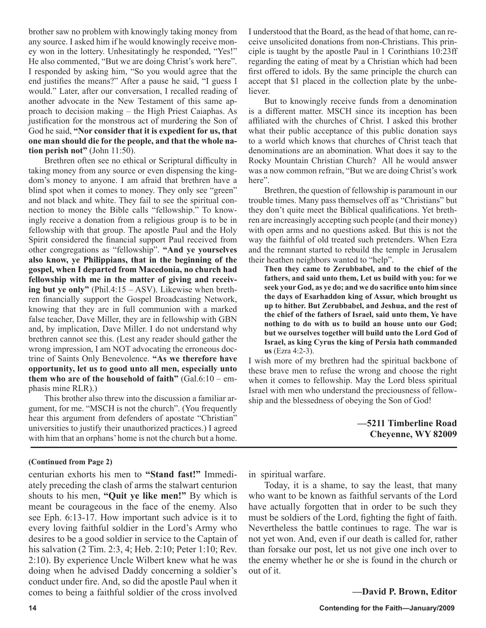brother saw no problem with knowingly taking money from any source. I asked him if he would knowingly receive money won in the lottery. Unhesitatingly he responded, "Yes!" He also commented, "But we are doing Christ's work here". I responded by asking him, "So you would agree that the end justifies the means?" After a pause he said, "I guess I would." Later, after our conversation, I recalled reading of another advocate in the New Testament of this same approach to decision making – the High Priest Caiaphas. As justification for the monstrous act of murdering the Son of God he said, **"Nor consider that it is expedient for us, that one man should die for the people, and that the whole nation perish not"** (John 11:50).

Brethren often see no ethical or Scriptural difficulty in taking money from any source or even dispensing the kingdom's money to anyone. I am afraid that brethren have a blind spot when it comes to money. They only see "green" and not black and white. They fail to see the spiritual connection to money the Bible calls "fellowship." To knowingly receive a donation from a religious group is to be in fellowship with that group. The apostle Paul and the Holy Spirit considered the financial support Paul received from other congregations as "fellowship". **"And ye yourselves also know, ye Philippians, that in the beginning of the gospel, when I departed from Macedonia, no church had fellowship with me in the matter of giving and receiving but ye only"** (Phil.4:15 – ASV). Likewise when brethren financially support the Gospel Broadcasting Network, knowing that they are in full communion with a marked false teacher, Dave Miller, they are in fellowship with GBN and, by implication, Dave Miller. I do not understand why brethren cannot see this. (Lest any reader should gather the wrong impression, I am NOT advocating the erroneous doctrine of Saints Only Benevolence. **"As we therefore have opportunity, let us to good unto all men, especially unto them who are of the household of faith"** (Gal.6:10 – emphasis mine RLR).)

This brother also threw into the discussion a familiar argument, for me. "MSCH is not the church". (You frequently hear this argument from defenders of apostate "Christian" universities to justify their unauthorized practices.) I agreed with him that an orphans' home is not the church but a home.

## **(Continued from Page 2)**

centurian exhorts his men to **"Stand fast!"** Immediately preceding the clash of arms the stalwart centurion shouts to his men, **"Quit ye like men!"** By which is meant be courageous in the face of the enemy. Also see Eph. 6:13-17. How important such advice is it to every loving faithful soldier in the Lord's Army who desires to be a good soldier in service to the Captain of his salvation (2 Tim. 2:3, 4; Heb. 2:10; Peter 1:10; Rev. 2:10). By experience Uncle Wilbert knew what he was doing when he advised Daddy concerning a soldier's conduct under fire. And, so did the apostle Paul when it comes to being a faithful soldier of the cross involved I understood that the Board, as the head of that home, can receive unsolicited donations from non-Christians. This principle is taught by the apostle Paul in 1 Corinthians 10:23ff regarding the eating of meat by a Christian which had been first offered to idols. By the same principle the church can accept that \$1 placed in the collection plate by the unbeliever.

But to knowingly receive funds from a denomination is a different matter. MSCH since its inception has been affiliated with the churches of Christ. I asked this brother what their public acceptance of this public donation says to a world which knows that churches of Christ teach that denominations are an abomination. What does it say to the Rocky Mountain Christian Church? All he would answer was a now common refrain, "But we are doing Christ's work here".

Brethren, the question of fellowship is paramount in our trouble times. Many pass themselves off as "Christians" but they don't quite meet the Biblical qualifications. Yet brethren are increasingly accepting such people (and their money) with open arms and no questions asked. But this is not the way the faithful of old treated such pretenders. When Ezra and the remnant started to rebuild the temple in Jerusalem their heathen neighbors wanted to "help".

**Then they came to Zerubbabel, and to the chief of the fathers, and said unto them, Let us build with you: for we seek your God, as ye do; and we do sacrifice unto him since the days of Esarhaddon king of Assur, which brought us up to hither. But Zerubbabel, and Jeshua, and the rest of the chief of the fathers of Israel, said unto them, Ye have nothing to do with us to build an house unto our God; but we ourselves together will build unto the Lord God of Israel, as king Cyrus the king of Persia hath commanded us** (Ezra 4:2-3).

I wish more of my brethren had the spiritual backbone of these brave men to refuse the wrong and choose the right when it comes to fellowship. May the Lord bless spiritual Israel with men who understand the preciousness of fellowship and the blessedness of obeying the Son of God!

## **—5211 Timberline Road Cheyenne, WY 82009**

in spiritual warfare.

Today, it is a shame, to say the least, that many who want to be known as faithful servants of the Lord have actually forgotten that in order to be such they must be soldiers of the Lord, fighting the fight of faith. Nevertheless the battle continues to rage. The war is not yet won. And, even if our death is called for, rather than forsake our post, let us not give one inch over to the enemy whether he or she is found in the church or out of it.

**—David P. Brown, Editor**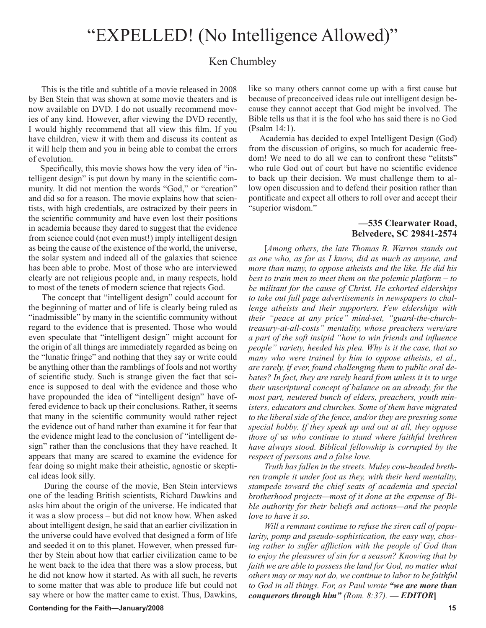## "EXPELLED! (No Intelligence Allowed)"

## Ken Chumbley

 This is the title and subtitle of a movie released in 2008 by Ben Stein that was shown at some movie theaters and is now available on DVD. I do not usually recommend movies of any kind. However, after viewing the DVD recently, I would highly recommend that all view this film. If you have children, view it with them and discuss its content as it will help them and you in being able to combat the errors of evolution.

 Specifically, this movie shows how the very idea of "intelligent design" is put down by many in the scientific community. It did not mention the words "God," or "creation" and did so for a reason. The movie explains how that scientists, with high credentials, are ostracized by their peers in the scientific community and have even lost their positions in academia because they dared to suggest that the evidence from science could (not even must!) imply intelligent design as being the cause of the existence of the world, the universe, the solar system and indeed all of the galaxies that science has been able to probe. Most of those who are interviewed clearly are not religious people and, in many respects, hold to most of the tenets of modern science that rejects God.

 The concept that "intelligent design" could account for the beginning of matter and of life is clearly being ruled as "inadmissible" by many in the scientific community without regard to the evidence that is presented. Those who would even speculate that "intelligent design" might account for the origin of all things are immediately regarded as being on the "lunatic fringe" and nothing that they say or write could be anything other than the ramblings of fools and not worthy of scientific study. Such is strange given the fact that science is supposed to deal with the evidence and those who have propounded the idea of "intelligent design" have offered evidence to back up their conclusions. Rather, it seems that many in the scientific community would rather reject the evidence out of hand rather than examine it for fear that the evidence might lead to the conclusion of "intelligent design" rather than the conclusions that they have reached. It appears that many are scared to examine the evidence for fear doing so might make their atheistic, agnostic or skeptical ideas look silly.

 During the course of the movie, Ben Stein interviews one of the leading British scientists, Richard Dawkins and asks him about the origin of the universe. He indicated that it was a slow process – but did not know how. When asked about intelligent design, he said that an earlier civilization in the universe could have evolved that designed a form of life and seeded it on to this planet. However, when pressed further by Stein about how that earlier civilization came to be he went back to the idea that there was a slow process, but he did not know how it started. As with all such, he reverts to some matter that was able to produce life but could not say where or how the matter came to exist. Thus, Dawkins, like so many others cannot come up with a first cause but because of preconceived ideas rule out intelligent design because they cannot accept that God might be involved. The Bible tells us that it is the fool who has said there is no God (Psalm 14:1).

 Academia has decided to expel Intelligent Design (God) from the discussion of origins, so much for academic freedom! We need to do all we can to confront these "elitsts" who rule God out of court but have no scientific evidence to back up their decision. We must challenge them to allow open discussion and to defend their position rather than pontificate and expect all others to roll over and accept their "superior wisdom."

## **—535 Clearwater Road, Belvedere, SC 29841-2574**

[*Among others, the late Thomas B. Warren stands out as one who, as far as I know, did as much as anyone, and more than many, to oppose atheists and the like. He did his best to train men to meet them on the polemic platform – to be militant for the cause of Christ. He exhorted elderships to take out full page advertisements in newspapers to challenge atheists and their supporters. Few elderships with their "peace at any price" mind-set, "guard-the-churchtreasury-at-all-costs" mentality, whose preachers were/are a part of the soft insipid "how to win friends and influence people" variety, heeded his plea. Why is it the case, that so many who were trained by him to oppose atheists, et al., are rarely, if ever, found challenging them to public oral debates? In fact, they are rarely heard from unless it is to urge their unscriptural concept of balance on an already, for the most part, neutered bunch of elders, preachers, youth ministers, educators and churches. Some of them have migrated to the liberal side of the fence, and/or they are pressing some special hobby. If they speak up and out at all, they oppose those of us who continue to stand where faithful brethren have always stood. Biblical fellowship is corrupted by the respect of persons and a false love.*

*Truth has fallen in the streets. Muley cow-headed brethren trample it under foot as they, with their herd mentality, stampede toward the chief seats of academia and special brotherhood projects—most of it done at the expense of Bible authority for their beliefs and actions—and the people love to have it so.*

*Will a remnant continue to refuse the siren call of popularity, pomp and pseudo-sophistication, the easy way, chosing rather to suffer affliction with the people of God than to enjoy the pleasures of sin for a season? Knowing that by faith we are able to possess the land for God, no matter what others may or may not do, we continue to labor to be faithful to God in all things. For, as Paul wrote "we are more than conquerors through him" (Rom. 8:37). — EDITOR***]**